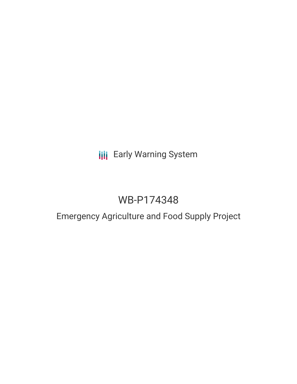# **III** Early Warning System

# WB-P174348

# Emergency Agriculture and Food Supply Project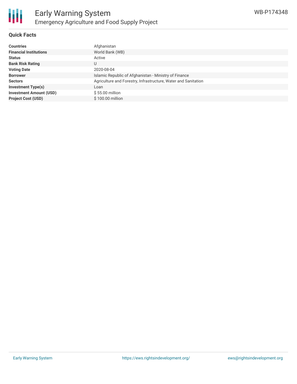

### **Quick Facts**

| <b>Countries</b>               | Afghanistan                                                    |
|--------------------------------|----------------------------------------------------------------|
| <b>Financial Institutions</b>  | World Bank (WB)                                                |
| <b>Status</b>                  | Active                                                         |
| <b>Bank Risk Rating</b>        | U                                                              |
| <b>Voting Date</b>             | 2020-08-04                                                     |
| <b>Borrower</b>                | Islamic Republic of Afghanistan - Ministry of Finance          |
| <b>Sectors</b>                 | Agriculture and Forestry, Infrastructure, Water and Sanitation |
| <b>Investment Type(s)</b>      | Loan                                                           |
| <b>Investment Amount (USD)</b> | \$55,00 million                                                |
| <b>Project Cost (USD)</b>      | \$100.00 million                                               |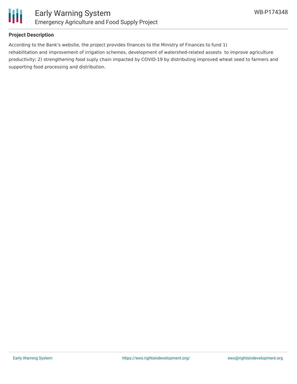

### **Project Description**

According to the Bank's website, the project provides finances to the Ministry of Finances to fund 1) rehabilitation and improvement of irrigation schemes, development of watershed-related assests to improve agriculture productivity; 2) strengthening food suply chain impacted by COVID-19 by distributing improved wheat seed to farmers and supporting food processing and distribution.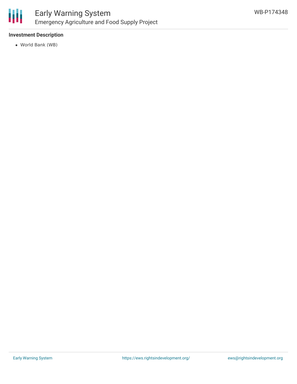

## **Investment Description**

World Bank (WB)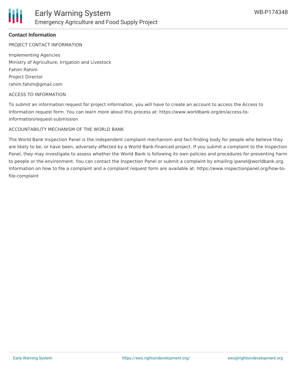## **Contact Information**

PROJECT CONTACT INFORMATION

Implementing Agencies Ministry of Agriculture, Irrigation and Livestock Fahim Rahim Project Director rahim.fahim@gmail.com

#### ACCESS TO INFORMATION

To submit an information request for project information, you will have to create an account to access the Access to Information request form. You can learn more about this process at: https://www.worldbank.org/en/access-toinformation/request-submission

#### ACCOUNTABILITY MECHANISM OF THE WORLD BANK

The World Bank Inspection Panel is the independent complaint mechanism and fact-finding body for people who believe they are likely to be, or have been, adversely affected by a World Bank-financed project. If you submit a complaint to the Inspection Panel, they may investigate to assess whether the World Bank is following its own policies and procedures for preventing harm to people or the environment. You can contact the Inspection Panel or submit a complaint by emailing ipanel@worldbank.org. Information on how to file a complaint and a complaint request form are available at: https://www.inspectionpanel.org/how-tofile-complaint